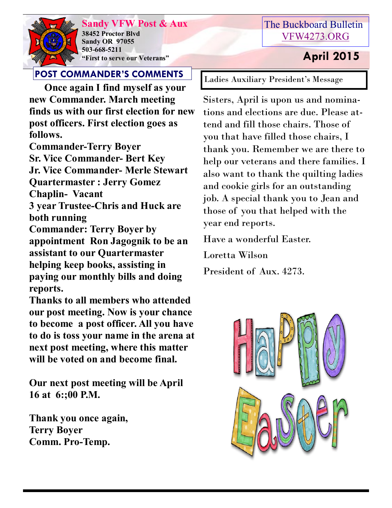

**Sandy VFW Post & Aux 38452 Proctor Blvd Sandy OR 97055 503-668-5211 "First to serve our Veterans" April 2015** 

# The Buckboard Bulletin [VFW4273.ORG](http://vfw4273.org/)

**POST COMMANDER'S COMMENTS**

 **Once again I find myself as your new Commander. March meeting finds us with our first election for new post officers. First election goes as follows.**

**Commander-Terry Boyer Sr. Vice Commander- Bert Key Jr. Vice Commander- Merle Stewart Quartermaster : Jerry Gomez Chaplin- Vacant**

**3 year Trustee-Chris and Huck are both running**

**Commander: Terry Boyer by appointment Ron Jagognik to be an assistant to our Quartermaster helping keep books, assisting in paying our monthly bills and doing reports.**

**Thanks to all members who attended our post meeting. Now is your chance to become a post officer. All you have to do is toss your name in the arena at next post meeting, where this matter will be voted on and become final.** 

**Our next post meeting will be April 16 at 6:;00 P.M.**

**Thank you once again, Terry Boyer Comm. Pro-Temp.**

Ladies Auxiliary President's Message

Sisters, April is upon us and nominations and elections are due. Please attend and fill those chairs. Those of you that have filled those chairs, I thank you. Remember we are there to help our veterans and there families. I also want to thank the quilting ladies and cookie girls for an outstanding job. A special thank you to Jean and those of you that helped with the year end reports.

Have a wonderful Easter.

Loretta Wilson

President of Aux. 4273.

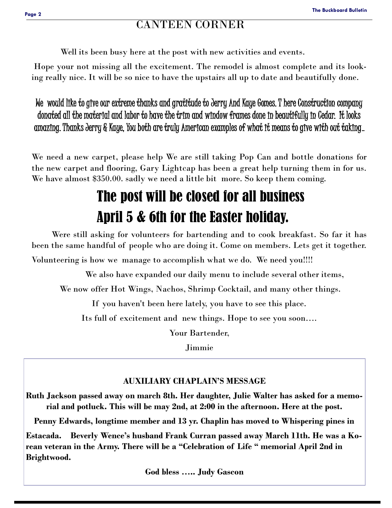## CANTEEN CORNER

Well its been busy here at the post with new activities and events.

Hope your not missing all the excitement. The remodel is almost complete and its looking really nice. It will be so nice to have the upstairs all up to date and beautifully done.

We would like to give our extreme thanks and gratitude to Jerry And Kaye Gomes. T here Construction company donated all the material and labor to have the trim and window frames done in beautifully in Cedar. It looks amazing. Thanks Jerry & Kaye, You both are truly American examples of what it means to give with out taking..

We need a new carpet, please help We are still taking Pop Can and bottle donations for the new carpet and flooring, Gary Lightcap has been a great help turning them in for us. We have almost \$350.00. sadly we need a little bit more. So keep them coming.

# The post will be closed for all business April 5 & 6th for the Easter holiday.

 Were still asking for volunteers for bartending and to cook breakfast. So far it has been the same handful of people who are doing it. Come on members. Lets get it together. Volunteering is how we manage to accomplish what we do. We need you!!!!

We also have expanded our daily menu to include several other items,

We now offer Hot Wings, Nachos, Shrimp Cocktail, and many other things.

If you haven't been here lately, you have to see this place.

Its full of excitement and new things. Hope to see you soon….

Your Bartender,

Jimmie

### **AUXILIARY CHAPLAIN'S MESSAGE**

**Ruth Jackson passed away on march 8th. Her daughter, Julie Walter has asked for a memorial and potluck. This will be may 2nd, at 2:00 in the afternoon. Here at the post.**

**Penny Edwards, longtime member and 13 yr. Chaplin has moved to Whispering pines in** 

**Estacada. Beverly Wence's husband Frank Curran passed away March 11th. He was a Korean veteran in the Army. There will be a "Celebration of Life " memorial April 2nd in Brightwood.** 

**God bless ….. Judy Gascon**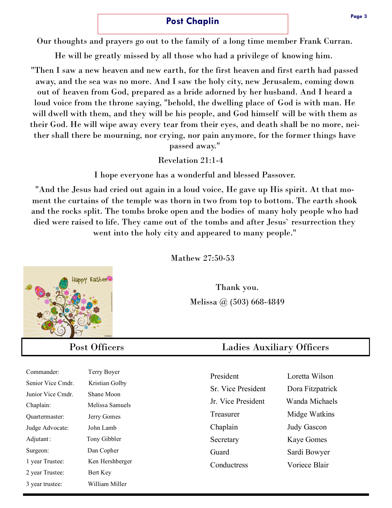### **Post Chaplin**

Our thoughts and prayers go out to the family of a long time member Frank Curran.

He will be greatly missed by all those who had a privilege of knowing him.

"Then I saw a new heaven and new earth, for the first heaven and first earth had passed away, and the sea was no more. And I saw the holy city, new Jerusalem, coming down out of heaven from God, prepared as a bride adorned by her husband. And I heard a loud voice from the throne saying, "behold, the dwelling place of God is with man. He will dwell with them, and they will be his people, and God himself will be with them as their God. He will wipe away every tear from their eyes, and death shall be no more, neither shall there be mourning, nor crying, nor pain anymore, for the former things have passed away."

Revelation 21:1-4

I hope everyone has a wonderful and blessed Passover.

"And the Jesus had cried out again in a loud voice, He gave up His spirit. At that moment the curtains of the temple was thorn in two from top to bottom. The earth shook and the rocks split. The tombs broke open and the bodies of many holy people who had died were raised to life. They came out of the tombs and after Jesus` resurrection they went into the holy city and appeared to many people."

Mathew 27:50-53

Thank you. Melissa @ (503) 668-4849

# Post Officers Ladies Auxiliary Officers

| President                 | Loretta Wilson     |
|---------------------------|--------------------|
| <b>Sr.</b> Vice President | Dora Fitzpatrick   |
| Jr. Vice President        | Wanda Michaels     |
| Treasurer                 | Midge Watkins      |
| Chaplain                  | <b>Judy Gascon</b> |
| Secretary                 | <b>Kaye Gomes</b>  |
| Guard                     | Sardi Bowyer       |
| Conductress               | Voriece Blair      |
|                           |                    |



| Commander:        | Terry Boyer     |
|-------------------|-----------------|
| Senior Vice Cmdr. | Kristian Golby  |
| Junior Vice Cmdr. | Shane Moon      |
| Chaplain:         | Melissa Samuels |
| Quartermaster:    | Jerry Gomes     |
| Judge Advocate:   | John Lamb       |
| Adjutant:         | Tony Gibbler    |
| Surgeon:          | Dan Copher      |
| 1 year Trustee:   | Ken Hershberger |
| 2 year Trustee:   | Bert Key        |
| 3 year trustee:   | William Miller  |